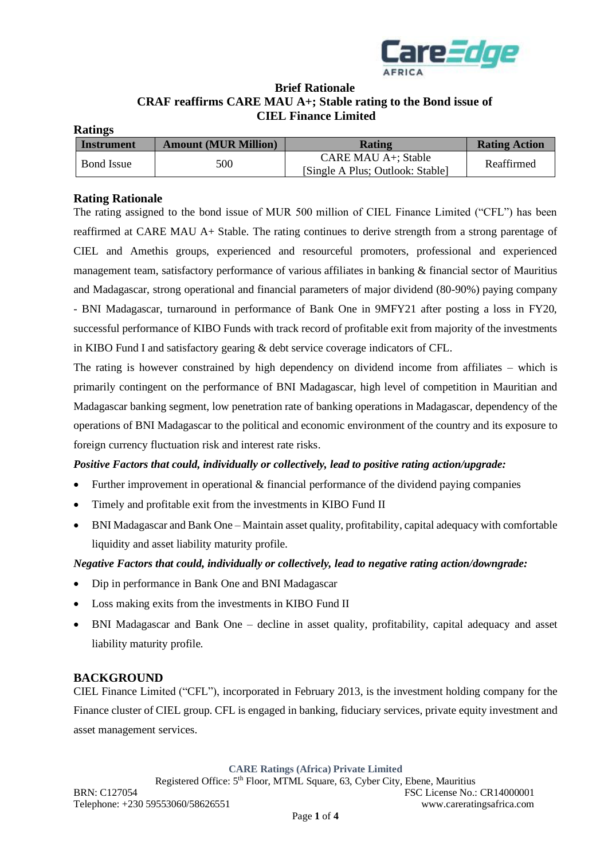

# **Brief Rationale CRAF reaffirms CARE MAU A+; Stable rating to the Bond issue of CIEL Finance Limited**

#### **Ratings**

| Instrument        | <b>Amount (MUR Million)</b> | <b>Rating</b>                                           | <b>Rating Action</b> |
|-------------------|-----------------------------|---------------------------------------------------------|----------------------|
| <b>Bond Issue</b> | 500                         | CARE MAU A+: Stable<br>[Single A Plus; Outlook: Stable] | Reaffirmed           |

## **Rating Rationale**

The rating assigned to the bond issue of MUR 500 million of CIEL Finance Limited ("CFL") has been reaffirmed at CARE MAU A+ Stable. The rating continues to derive strength from a strong parentage of CIEL and Amethis groups, experienced and resourceful promoters, professional and experienced management team, satisfactory performance of various affiliates in banking & financial sector of Mauritius and Madagascar, strong operational and financial parameters of major dividend (80-90%) paying company - BNI Madagascar, turnaround in performance of Bank One in 9MFY21 after posting a loss in FY20, successful performance of KIBO Funds with track record of profitable exit from majority of the investments in KIBO Fund I and satisfactory gearing & debt service coverage indicators of CFL.

The rating is however constrained by high dependency on dividend income from affiliates – which is primarily contingent on the performance of BNI Madagascar, high level of competition in Mauritian and Madagascar banking segment, low penetration rate of banking operations in Madagascar, dependency of the operations of BNI Madagascar to the political and economic environment of the country and its exposure to foreign currency fluctuation risk and interest rate risks.

## *Positive Factors that could, individually or collectively, lead to positive rating action/upgrade:*

- Further improvement in operational & financial performance of the dividend paying companies
- Timely and profitable exit from the investments in KIBO Fund II
- BNI Madagascar and Bank One Maintain asset quality, profitability, capital adequacy with comfortable liquidity and asset liability maturity profile.

## *Negative Factors that could, individually or collectively, lead to negative rating action/downgrade:*

- Dip in performance in Bank One and BNI Madagascar
- Loss making exits from the investments in KIBO Fund II
- BNI Madagascar and Bank One decline in asset quality, profitability, capital adequacy and asset liability maturity profile.

## **BACKGROUND**

CIEL Finance Limited ("CFL"), incorporated in February 2013, is the investment holding company for the Finance cluster of CIEL group. CFL is engaged in banking, fiduciary services, private equity investment and asset management services.

**CARE Ratings (Africa) Private Limited**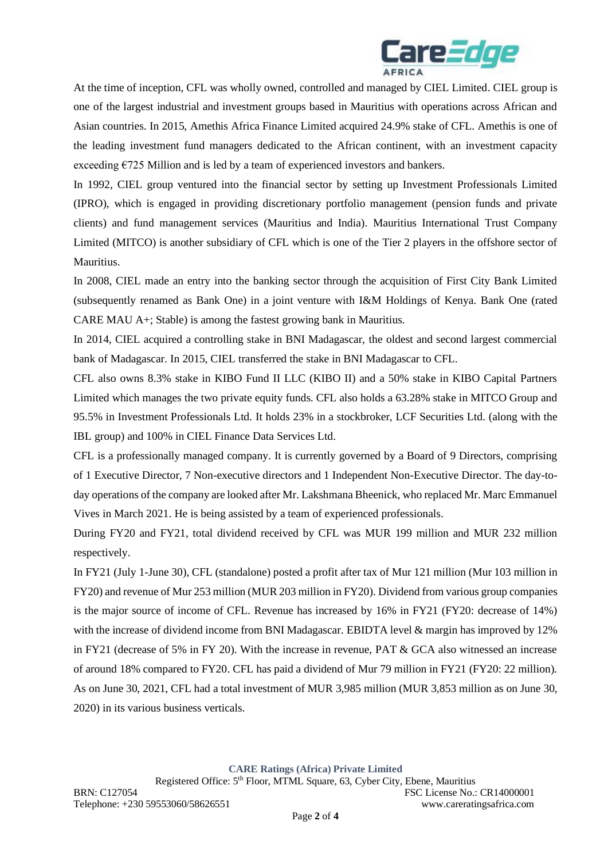

At the time of inception, CFL was wholly owned, controlled and managed by CIEL Limited. CIEL group is one of the largest industrial and investment groups based in Mauritius with operations across African and Asian countries. In 2015, Amethis Africa Finance Limited acquired 24.9% stake of CFL. Amethis is one of the leading investment fund managers dedicated to the African continent, with an investment capacity exceeding  $E725$  Million and is led by a team of experienced investors and bankers.

In 1992, CIEL group ventured into the financial sector by setting up Investment Professionals Limited (IPRO), which is engaged in providing discretionary portfolio management (pension funds and private clients) and fund management services (Mauritius and India). Mauritius International Trust Company Limited (MITCO) is another subsidiary of CFL which is one of the Tier 2 players in the offshore sector of Mauritius.

In 2008, CIEL made an entry into the banking sector through the acquisition of First City Bank Limited (subsequently renamed as Bank One) in a joint venture with I&M Holdings of Kenya. Bank One (rated CARE MAU A+; Stable) is among the fastest growing bank in Mauritius.

In 2014, CIEL acquired a controlling stake in BNI Madagascar, the oldest and second largest commercial bank of Madagascar. In 2015, CIEL transferred the stake in BNI Madagascar to CFL.

CFL also owns 8.3% stake in KIBO Fund II LLC (KIBO II) and a 50% stake in KIBO Capital Partners Limited which manages the two private equity funds. CFL also holds a 63.28% stake in MITCO Group and 95.5% in Investment Professionals Ltd. It holds 23% in a stockbroker, LCF Securities Ltd. (along with the IBL group) and 100% in CIEL Finance Data Services Ltd.

CFL is a professionally managed company. It is currently governed by a Board of 9 Directors, comprising of 1 Executive Director, 7 Non-executive directors and 1 Independent Non-Executive Director. The day-today operations of the company are looked after Mr. Lakshmana Bheenick, who replaced Mr. Marc Emmanuel Vives in March 2021. He is being assisted by a team of experienced professionals.

During FY20 and FY21, total dividend received by CFL was MUR 199 million and MUR 232 million respectively.

In FY21 (July 1-June 30), CFL (standalone) posted a profit after tax of Mur 121 million (Mur 103 million in FY20) and revenue of Mur 253 million (MUR 203 million in FY20). Dividend from various group companies is the major source of income of CFL. Revenue has increased by 16% in FY21 (FY20: decrease of 14%) with the increase of dividend income from BNI Madagascar. EBIDTA level & margin has improved by 12% in FY21 (decrease of 5% in FY 20). With the increase in revenue, PAT & GCA also witnessed an increase of around 18% compared to FY20. CFL has paid a dividend of Mur 79 million in FY21 (FY20: 22 million). As on June 30, 2021, CFL had a total investment of MUR 3,985 million (MUR 3,853 million as on June 30, 2020) in its various business verticals.

**CARE Ratings (Africa) Private Limited**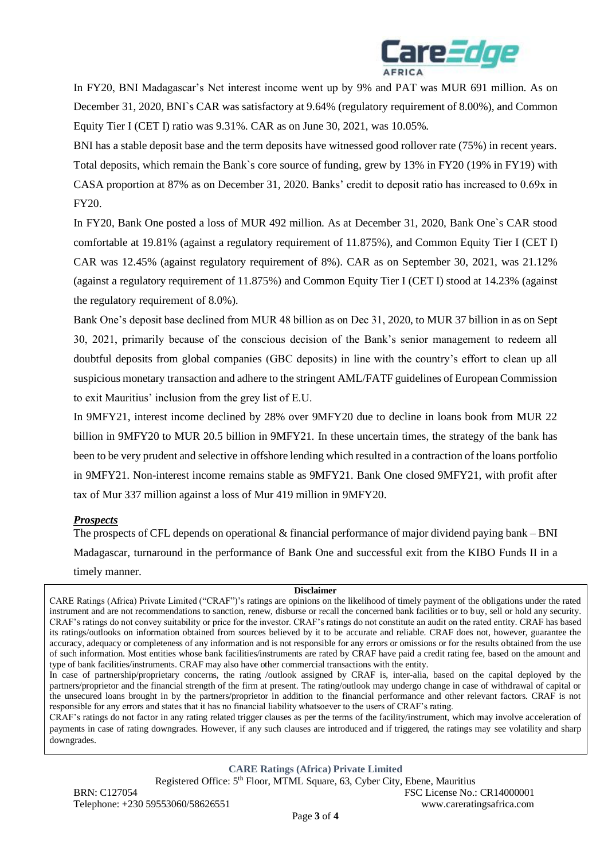

In FY20, BNI Madagascar's Net interest income went up by 9% and PAT was MUR 691 million. As on December 31, 2020, BNI`s CAR was satisfactory at 9.64% (regulatory requirement of 8.00%), and Common Equity Tier I (CET I) ratio was 9.31%. CAR as on June 30, 2021, was 10.05%.

BNI has a stable deposit base and the term deposits have witnessed good rollover rate (75%) in recent years. Total deposits, which remain the Bank`s core source of funding, grew by 13% in FY20 (19% in FY19) with CASA proportion at 87% as on December 31, 2020. Banks' credit to deposit ratio has increased to 0.69x in FY20.

In FY20, Bank One posted a loss of MUR 492 million. As at December 31, 2020, Bank One`s CAR stood comfortable at 19.81% (against a regulatory requirement of 11.875%), and Common Equity Tier I (CET I) CAR was 12.45% (against regulatory requirement of 8%). CAR as on September 30, 2021, was 21.12% (against a regulatory requirement of 11.875%) and Common Equity Tier I (CET I) stood at 14.23% (against the regulatory requirement of 8.0%).

Bank One's deposit base declined from MUR 48 billion as on Dec 31, 2020, to MUR 37 billion in as on Sept 30, 2021, primarily because of the conscious decision of the Bank's senior management to redeem all doubtful deposits from global companies (GBC deposits) in line with the country's effort to clean up all suspicious monetary transaction and adhere to the stringent AML/FATF guidelines of European Commission to exit Mauritius' inclusion from the grey list of E.U.

In 9MFY21, interest income declined by 28% over 9MFY20 due to decline in loans book from MUR 22 billion in 9MFY20 to MUR 20.5 billion in 9MFY21. In these uncertain times, the strategy of the bank has been to be very prudent and selective in offshore lending which resulted in a contraction of the loans portfolio in 9MFY21. Non-interest income remains stable as 9MFY21. Bank One closed 9MFY21, with profit after tax of Mur 337 million against a loss of Mur 419 million in 9MFY20.

#### *Prospects*

The prospects of CFL depends on operational & financial performance of major dividend paying bank – BNI Madagascar, turnaround in the performance of Bank One and successful exit from the KIBO Funds II in a timely manner.

#### **Disclaimer**

CARE Ratings (Africa) Private Limited ("CRAF")'s ratings are opinions on the likelihood of timely payment of the obligations under the rated instrument and are not recommendations to sanction, renew, disburse or recall the concerned bank facilities or to buy, sell or hold any security. CRAF's ratings do not convey suitability or price for the investor. CRAF's ratings do not constitute an audit on the rated entity. CRAF has based its ratings/outlooks on information obtained from sources believed by it to be accurate and reliable. CRAF does not, however, guarantee the accuracy, adequacy or completeness of any information and is not responsible for any errors or omissions or for the results obtained from the use of such information. Most entities whose bank facilities/instruments are rated by CRAF have paid a credit rating fee, based on the amount and type of bank facilities/instruments. CRAF may also have other commercial transactions with the entity.

CRAF's ratings do not factor in any rating related trigger clauses as per the terms of the facility/instrument, which may involve acceleration of payments in case of rating downgrades. However, if any such clauses are introduced and if triggered, the ratings may see volatility and sharp downgrades.

**CARE Ratings (Africa) Private Limited**

Registered Office: 5th Floor, MTML Square, 63, Cyber City, Ebene, Mauritius

In case of partnership/proprietary concerns, the rating /outlook assigned by CRAF is, inter-alia, based on the capital deployed by the partners/proprietor and the financial strength of the firm at present. The rating/outlook may undergo change in case of withdrawal of capital or the unsecured loans brought in by the partners/proprietor in addition to the financial performance and other relevant factors. CRAF is not responsible for any errors and states that it has no financial liability whatsoever to the users of CRAF's rating.